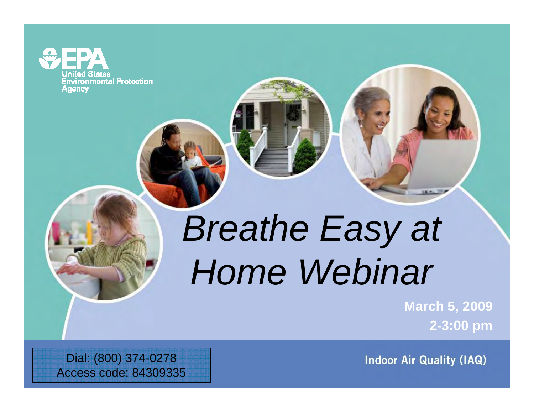**Environmental Protection** Agency

# *Breathe Easy at Home Webinar*

**March 5, 2009 2-3:00 pm**

**Indoor Air Quality (IAQ)** 

Dial: (800) 374-0278 Access code: 84309335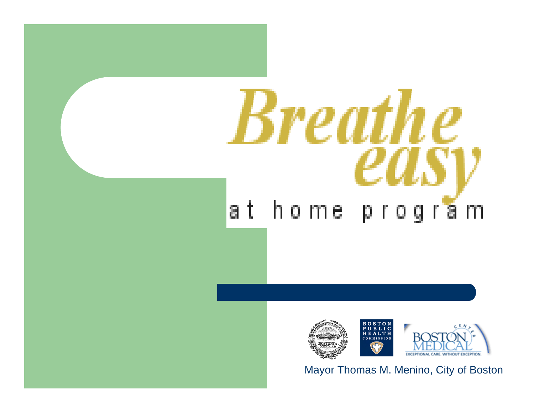## **Breathe** at home pro m g а



Mayor Thomas M. Menino, City of Boston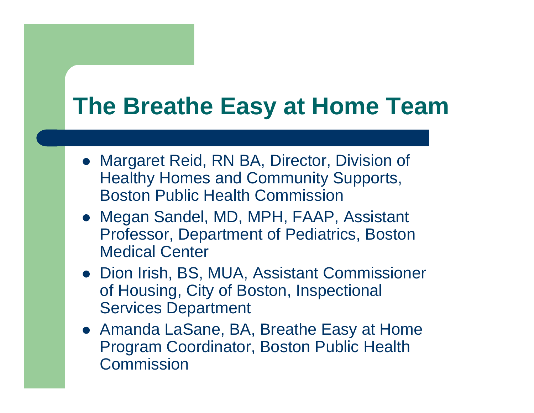#### **The Breathe Easy at Home Team**

- Margaret Reid, RN BA, Director, Division of Healthy Homes and Community Supports, Boston Public Health Commission
- Megan Sandel, MD, MPH, FAAP, Assistant Professor, Department of Pediatrics, Boston Medical Center
- Dion Irish, BS, MUA, Assistant Commissioner of Housing, City of Boston, Inspectional Services Department
- Amanda LaSane, BA, Breathe Easy at Home Program Coordinator, Boston Public Health **Commission**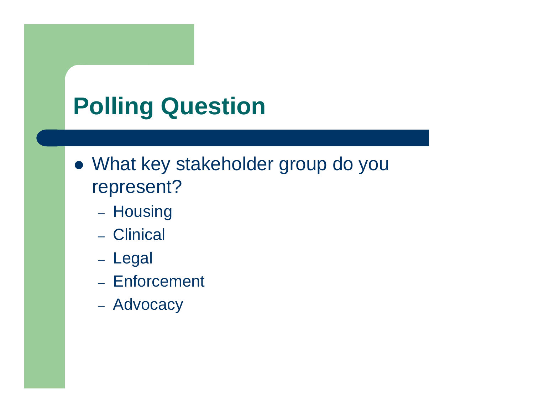## **Polling Question**

- What key stakeholder group do you represent?
	- Housing
	- Clinical
	- Legal
	- Enforcement
	- Advocacy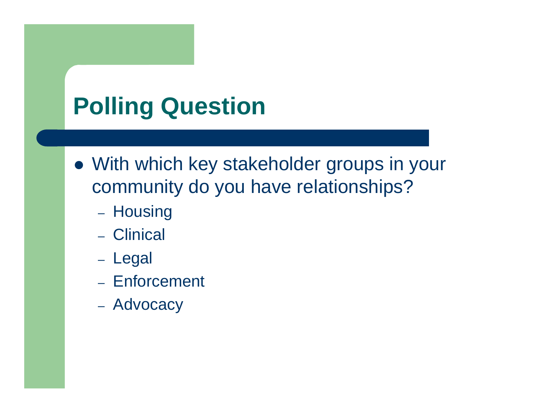## **Polling Question**

- With which key stakeholder groups in your community do you have relationships?
	- Housing
	- Clinical
	- Legal
	- Enforcement
	- Advocacy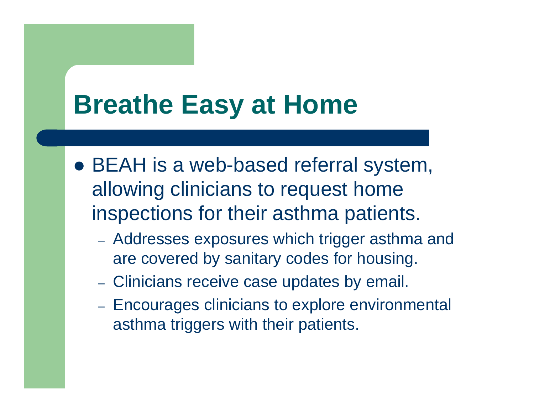## **Breathe Easy at Home**

- BEAH is a web-based referral system, allowing clinicians to request home inspections for their asthma patients.
	- Addresses exposures which trigger asthma and are covered by sanitary codes for housing.
	- Clinicians receive case updates by email.
	- Encourages clinicians to explore environmental asthma triggers with their patients.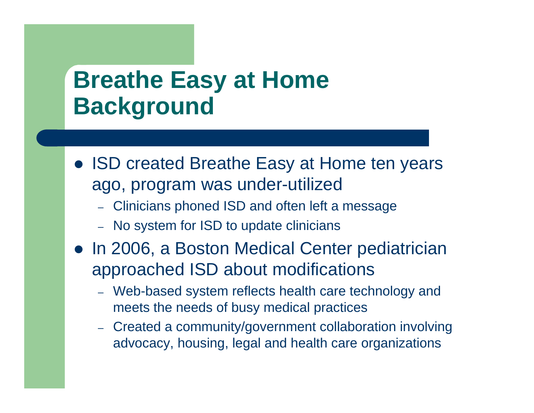#### **Breathe Easy at Home Background**

- ISD created Breathe Easy at Home ten years ago, program was under-utilized
	- Clinicians phoned ISD and often left a message
	- No system for ISD to update clinicians
- In 2006, a Boston Medical Center pediatrician approached ISD about modifications
	- Web-based system reflects health care technology and meets the needs of busy medical practices
	- Created a community/government collaboration involving advocacy, housing, legal and health care organizations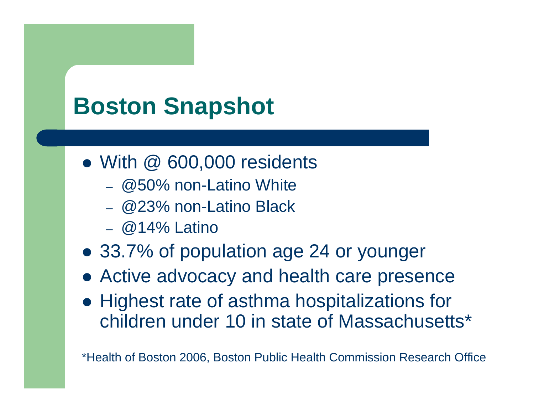## **Boston Snapshot**

- With @ 600,000 residents
	- @50% non-Latino White
	- @23% non-Latino Black
	- @14% Latino
- 33.7% of population age 24 or younger
- Active advocacy and health care presence
- Highest rate of asthma hospitalizations for children under 10 in state of Massachusetts\*

\*Health of Boston 2006, Boston Public Health Commission Research Office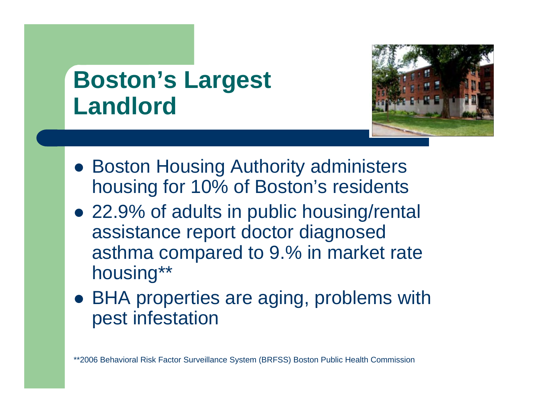#### **Boston's Largest Landlord**



- Boston Housing Authority administers housing for 10% of Boston's residents
- 22.9% of adults in public housing/rental assistance report doctor diagnosed asthma compared to 9.% in market rate housing\*\*
- BHA properties are aging, problems with pest infestation

\*\*2006 Behavioral Risk Factor Surveillance System (BRFSS) Boston Public Health Commission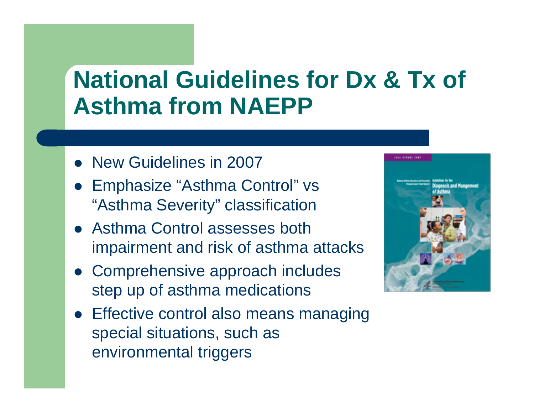### **National Guidelines for Dx & Tx of Asthma from NAEPP**

- New Guidelines in 2007
- Emphasize "Asthma Control" vs "Asthma Severity" classification
- Asthma Control assesses both impairment and risk of asthma attacks
- Comprehensive approach includes step up of asthma medications
- Effective control also means managing special situations, such as environmental triggers

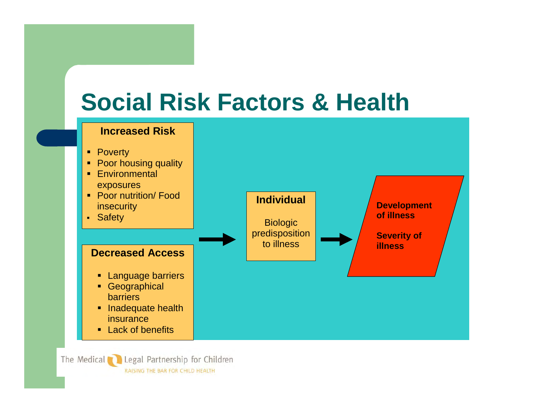#### **Social Risk Factors & Health**



The Medical **Confidential Partnership for Children** RAISING THE BAR FOR CHILD HEALTH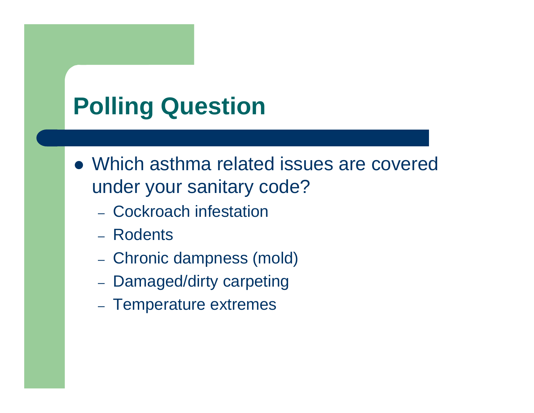## **Polling Question**

- Which asthma related issues are covered under your sanitary code?
	- Cockroach infestation
	- Rodents
	- Chronic dampness (mold)
	- Damaged/dirty carpeting
	- Temperature extremes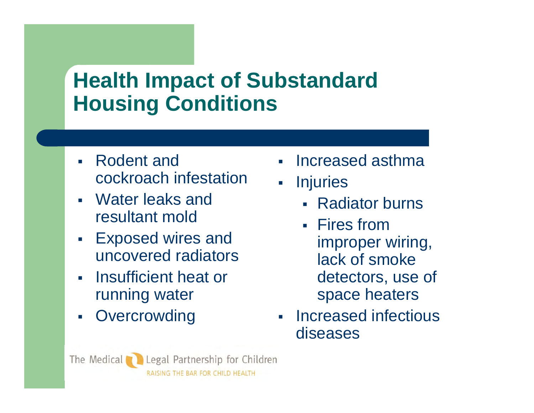#### **Health Impact of Substandard Housing Conditions**

- ▉ Rodent and cockroach infestation
- Water leaks and resultant mold
- Exposed wires and uncovered radiators
- **Insufficient heat or Leat Form** running water
- П **Overcrowding**
- L Increased asthma
- $\mathbf{E}$ **Injuries** 
	- Radiator burns
	- Fires from improper wiring, lack of smoke detectors, use of space heaters
- **Increased infectious** diseases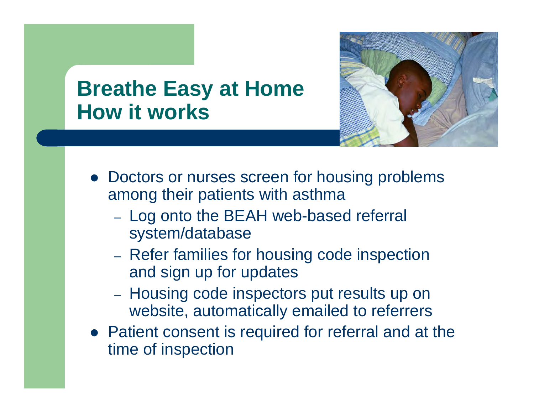

#### **Breathe Easy at Home How it works**

- Doctors or nurses screen for housing problems among their patients with asthma
	- Log onto the BEAH web-based referral system/database
	- Refer families for housing code inspection and sign up for updates
	- Housing code inspectors put results up on website, automatically emailed to referrers
- Patient consent is required for referral and at the time of inspection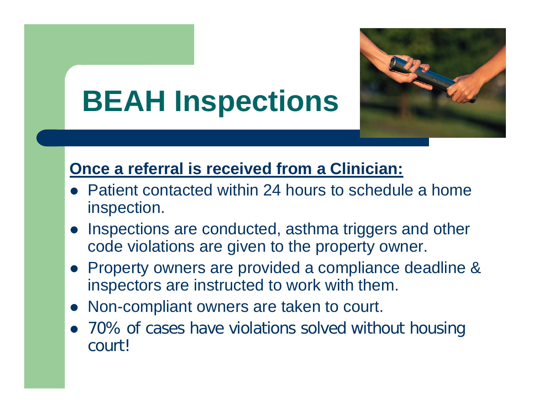

## **BEAH Inspections**

#### **Once a referral is received from a Clinician:**

- $\bullet$  Patient contacted within 24 hours to schedule a home inspection.
- $\bullet$  Inspections are conducted, asthma triggers and other code violations are given to the property owner.
- Property owners are provided a compliance deadline & inspectors are instructed to work with them.
- $\bullet$ Non-compliant owners are taken to court.
- 70% of cases have violations solved without housing court!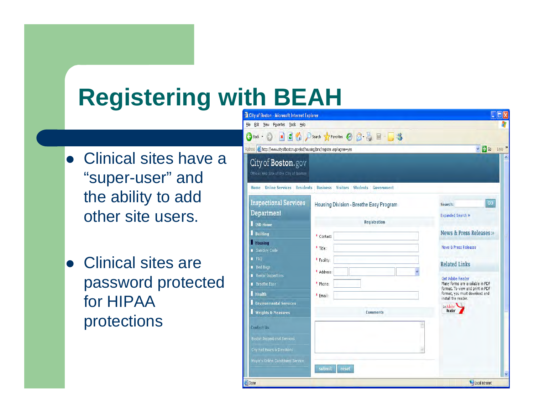#### **Registering with BEAH**

- Clinical sites have a "super-user" and the ability to add other site users.
- Clinical sites are password protected for HIPAA protections

| $\pmb{\times}$<br>Back +                                                     | 2 A D Search of Favorites 2 图 图 图 图 卷 图 图 卷               |                                                                     |
|------------------------------------------------------------------------------|-----------------------------------------------------------|---------------------------------------------------------------------|
| Address @ http://www.cityofboston.gov/isd/housing/bmc/register.asp?agree=yes |                                                           | $\vee$ $\rightarrow$ Go                                             |
| City of Boston.gov                                                           |                                                           |                                                                     |
| Official Web Site of the City of Boston                                      |                                                           |                                                                     |
| <b>Online Services Residents</b><br>Home                                     | <b>Business Visitors</b><br><b>Students</b><br>Government |                                                                     |
| <b>Inspectional Services</b>                                                 | Housing Division - Breathe Easy Program                   | GO<br>Search:                                                       |
| Department                                                                   |                                                           | Expanded Search »                                                   |
| <b>ISD Home</b>                                                              | Registration                                              |                                                                     |
| <b>Building</b>                                                              | * Contact:                                                | News & Press Releases »                                             |
| <b>Housing</b>                                                               | * Title:                                                  | <b>News &amp; Press Releases</b>                                    |
| Sanitary Code<br><b>FAQ</b>                                                  |                                                           |                                                                     |
| <b>Bed Bugs</b>                                                              | * Facility:                                               | <b>Related Links</b>                                                |
| Rental Inspections                                                           | * Address:                                                | Get Adobe Reader                                                    |
| Breathe Easy                                                                 | * Phone:                                                  | Many forms are available in PDF<br>format. To view and print in PDF |
| <b>Health</b>                                                                | * Email:                                                  | format, you must download and<br>install the reader.                |
| <b>Environmental Services</b>                                                |                                                           | Get Adobe                                                           |
| <b>Weights &amp; Measures</b>                                                | <b>Comments</b>                                           | Reader <sup>-</sup>                                                 |
| <b>Contact Us</b>                                                            |                                                           |                                                                     |
| <b>Boston Inspectional Services</b>                                          |                                                           |                                                                     |
|                                                                              |                                                           |                                                                     |
| City Hall Hours & Directions                                                 |                                                           |                                                                     |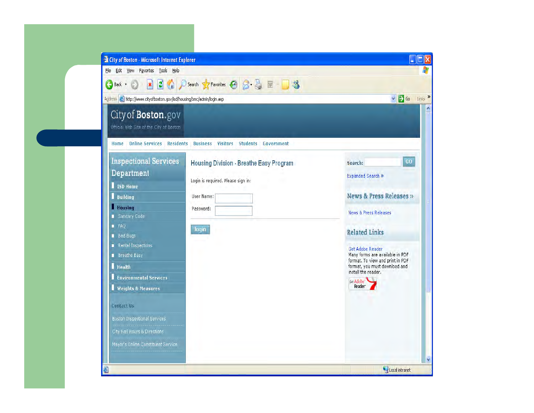| <b>Explorer 1 City of Boston - Microsoft Internet Explorer</b>         |                                                |                                                                     |  |  |
|------------------------------------------------------------------------|------------------------------------------------|---------------------------------------------------------------------|--|--|
| File Edit View Favorites Tools Help                                    |                                                |                                                                     |  |  |
| Back +<br>$\vert \mathbf{x} \vert$                                     | 2 C Search Stravorites 2 图 图 图<br>$\mathbb{R}$ |                                                                     |  |  |
| Address et http://www.cityofboston.gov/isd/housing/bmc/admin/login.asp |                                                | Links »<br>$\vee$ $\rightarrow$ Go                                  |  |  |
| City of Boston.gov                                                     |                                                |                                                                     |  |  |
| Official Web Site of the City of Boston                                |                                                |                                                                     |  |  |
| <b>Online Services Residents</b><br>Home                               | <b>Business Visitors Students Government</b>   |                                                                     |  |  |
| <b>Inspectional Services</b>                                           | Housing Division - Breathe Easy Program        | GO<br>Search:                                                       |  |  |
| Department                                                             |                                                | Expanded Search »                                                   |  |  |
| ISD Home                                                               | Login is required. Please sign in:             |                                                                     |  |  |
| <b>Building</b><br>٠                                                   | User Name:                                     | News & Press Releases »<br><b>News &amp; Press Releases</b>         |  |  |
| <b>Housing</b>                                                         | Password:                                      |                                                                     |  |  |
| Sanitary Code<br>F A Q                                                 |                                                |                                                                     |  |  |
| <b>Bed Bugs</b>                                                        | login                                          | <b>Related Links</b>                                                |  |  |
| Rental Inspections                                                     |                                                | Get Adobe Reader                                                    |  |  |
| <b>Breathe Easy</b>                                                    |                                                | Many forms are available in PDF<br>format. To view and print in PDF |  |  |
| <b>Health</b>                                                          |                                                | format, you must download and<br>install the reader.                |  |  |
| <b>Environmental Services</b>                                          |                                                | Get Adobe                                                           |  |  |
| <b>Weights &amp; Measures</b>                                          |                                                | Reader <sup>-</sup>                                                 |  |  |
| <b>Contact Us</b>                                                      |                                                |                                                                     |  |  |
| Boston Inspectional Services                                           |                                                |                                                                     |  |  |
| City Hall Hours & Directions                                           |                                                |                                                                     |  |  |
| Mayor's Online Constituent Service                                     |                                                |                                                                     |  |  |
|                                                                        |                                                |                                                                     |  |  |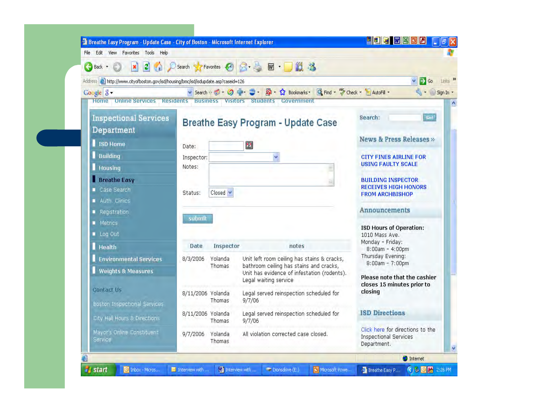| G<br>Back +                                                                        |                                    |                                                                      | 3 C D Search Fravorites ④ B - 图 回 · D 12 %                                             |                                                                                 |
|------------------------------------------------------------------------------------|------------------------------------|----------------------------------------------------------------------|----------------------------------------------------------------------------------------|---------------------------------------------------------------------------------|
| Address & http://www.cityofboston.gov/isd/housing/bmc/isd/isdupdate.asp?caseid=126 |                                    |                                                                      |                                                                                        | $\times$ $\rightarrow$ Go                                                       |
| Google 8 -                                                                         |                                    |                                                                      | Search ※ 1 9 - 9 - 3 - 5 - ☆ Bookmarks -                                               | Find - "Scheck - AutoFill -<br>$Sq + Sqn ln$                                    |
| <b>Home Online Services</b>                                                        | <b>Residents Business Visitors</b> |                                                                      | <b>Students</b><br>Government                                                          |                                                                                 |
| <b>Inspectional Services</b><br>Department                                         |                                    |                                                                      | <b>Breathe Easy Program - Update Case</b>                                              | Go! <sup>1</sup><br>Search:                                                     |
| ISD Home                                                                           | Date:                              |                                                                      | 圏                                                                                      | News & Press Releases »                                                         |
| <b>Building</b>                                                                    | Inspector:                         |                                                                      | Y                                                                                      | <b>CITY FINES AIRLINE FOR</b>                                                   |
| <b>Housing</b>                                                                     | Notes:                             |                                                                      |                                                                                        | <b>USING FAULTY SCALE</b>                                                       |
| <b>Breathe Easy</b>                                                                |                                    |                                                                      |                                                                                        | <b>BUILDING INSPECTOR</b>                                                       |
| Case Search                                                                        | Status:                            | $Closed \times$                                                      |                                                                                        | <b>RECEIVES HIGH HONORS</b><br><b>FROM ARCHBISHOP</b>                           |
| Auth. Clinics                                                                      |                                    |                                                                      |                                                                                        |                                                                                 |
| ■ Registration                                                                     | submit                             |                                                                      |                                                                                        | Announcements                                                                   |
| Metrics                                                                            |                                    |                                                                      |                                                                                        | <b>ISD Hours of Operation:</b>                                                  |
| Log Out                                                                            |                                    |                                                                      |                                                                                        | 1010 Mass Ave.<br>Monday - Friday:                                              |
| <b>Health</b>                                                                      | Date                               | Inspector                                                            | notes                                                                                  | $8:00am - 4:00pm$<br>Thursday Evening:                                          |
| <b>Environmental Services</b>                                                      | 8/3/2006                           | Yolanda<br>Thomas.                                                   | Unit left room ceiling has stains & cracks,<br>bathroom ceiling has stains and cracks, | $8:00am - 7:00pm$                                                               |
| <b>Weights &amp; Measures</b>                                                      |                                    | Unit has evidence of infestation (rodents).<br>Legal waiting service |                                                                                        | Please note that the cashier                                                    |
| <b>Contact Us</b>                                                                  |                                    |                                                                      | Legal served reinspection scheduled for                                                | closes 15 minutes prior to<br>closing                                           |
| <b>Boston Inspectional Services</b>                                                | 8/11/2006 Yolanda<br>Thomas        |                                                                      | 9/7/06                                                                                 |                                                                                 |
| City Hall Hours & Directions                                                       | 8/11/2006 Yolanda                  | Thomas                                                               | Legal served reinspection scheduled for<br>9/7/06                                      | <b>ISD Directions</b>                                                           |
| Mayor's Online Constituent<br><b>Service</b>                                       | 9/7/2006 Yolanda                   | Thomas                                                               | All violation corrected case closed.                                                   | Click here for directions to the<br><b>Inspectional Services</b><br>Department. |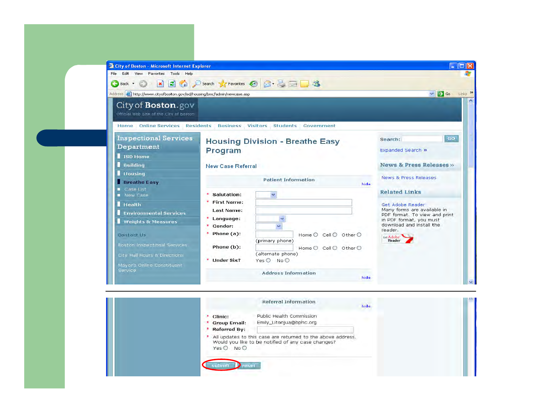| <b>El City of Boston - Microsoft Internet Explorer</b>                                                              |                                                                                                                                   | œ                                                                                |  |  |  |
|---------------------------------------------------------------------------------------------------------------------|-----------------------------------------------------------------------------------------------------------------------------------|----------------------------------------------------------------------------------|--|--|--|
| Edit View Favorites<br>Tools Help<br>File                                                                           |                                                                                                                                   |                                                                                  |  |  |  |
| $\vert \mathbf{x} \vert$<br>Back +<br>$\epsilon$                                                                    | 2 C D Search travorites 3 B B B B                                                                                                 |                                                                                  |  |  |  |
| Address <b>&amp;</b> http://www.cityofboston.gov/isd/housing/bmc/admin/newcase.asp                                  |                                                                                                                                   | $\vee$ $\rightarrow$ Go<br>Links >>                                              |  |  |  |
| City of <b>Boston</b> .gov<br>Official Web Site of the City of Boston                                               |                                                                                                                                   |                                                                                  |  |  |  |
|                                                                                                                     | Home Online Services Residents Business Visitors Students Government                                                              |                                                                                  |  |  |  |
| <b>Inspectional Services</b><br>Department                                                                          | <b>Housing Division - Breathe Easy</b><br>Program                                                                                 |                                                                                  |  |  |  |
| ISD Home<br><b>Building</b>                                                                                         | <b>New Case Referral</b>                                                                                                          | News & Press Releases »                                                          |  |  |  |
| <b>Housing</b><br><b>Breathe Easy</b><br>Case List                                                                  | <b>Patient Information</b><br>hide                                                                                                | News & Press Releases                                                            |  |  |  |
| New Case                                                                                                            | * Salutation:<br>$\overline{\mathbf{v}}$                                                                                          | <b>Related Links</b>                                                             |  |  |  |
| <b>Health</b><br><b>Environmental Services</b>                                                                      | <b>First Name:</b><br>Last Name:                                                                                                  | Get Adobe Reader<br>Many forms are available in<br>PDF format. To view and print |  |  |  |
| <b>Weights &amp; Measures</b>                                                                                       | Language:<br>Gender:                                                                                                              | in PDF format, you must<br>download and install the<br>reader.                   |  |  |  |
| <b>Contact Us</b>                                                                                                   | $*$ Phone (a):<br>Home $O$ Cell $O$ Other $O$<br>(primary phone)                                                                  | Get Adobe<br>Reader <sup>-</sup>                                                 |  |  |  |
| <b>Boston Inspectional Services</b><br>City Hall Hours & Directions<br>Mayor's Online Constituent<br><b>Service</b> | Phone (b):<br>Home $\bigcirc$ Cell $\bigcirc$ Other $\bigcirc$<br>(alternate phone)<br>* Under Six?<br>$Yes \bigcirc No \bigcirc$ |                                                                                  |  |  |  |
|                                                                                                                     | <b>Address Information</b><br>hide                                                                                                |                                                                                  |  |  |  |

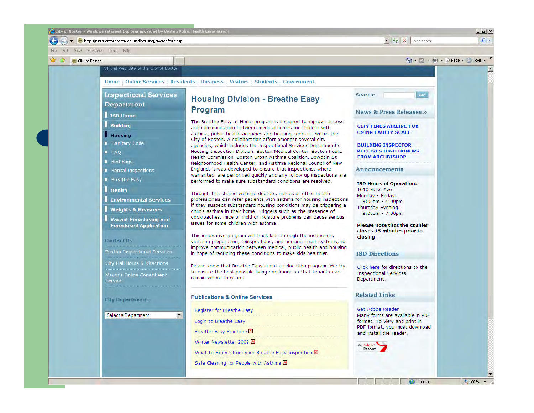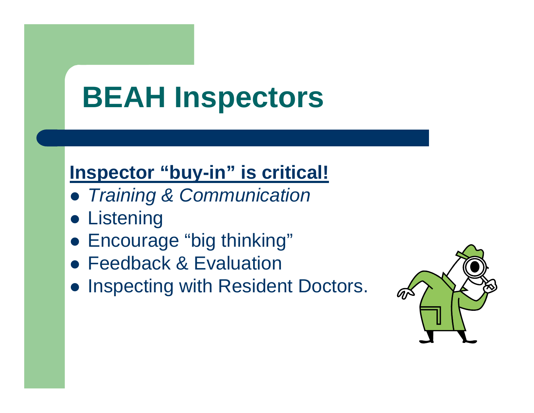## **BEAH Inspectors**

#### **Inspector "buy-in" is critical!**

- z *Training & Communication*
- **Listening**
- Encourage "big thinking"
- **Feedback & Evaluation**
- **Inspecting with Resident Doctors.**

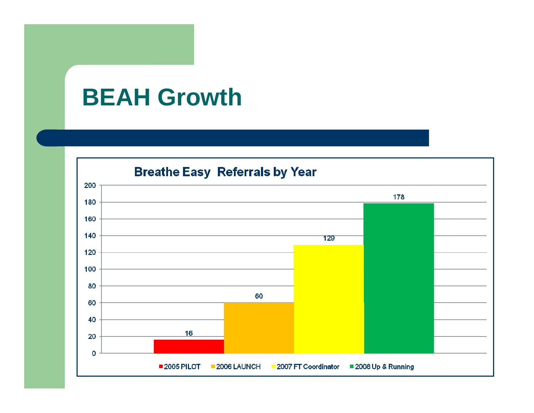#### **BEAH Growth**

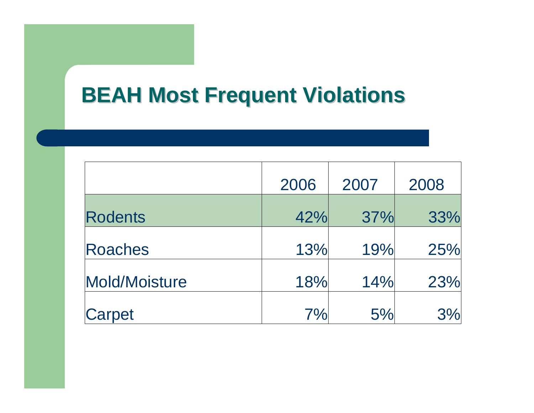#### **BEAH Most Frequent Violations BEAH Most Frequent Violations**

|                | 2006 | 2007 | 2008 |
|----------------|------|------|------|
| <b>Rodents</b> | 42%  | 37%  | 33%  |
| Roaches        | 13%  | 19%  | 25%  |
| Mold/Moisture  | 18%  | 14%  | 23%  |
| Carpet         | 7%   | 5%   | 3%   |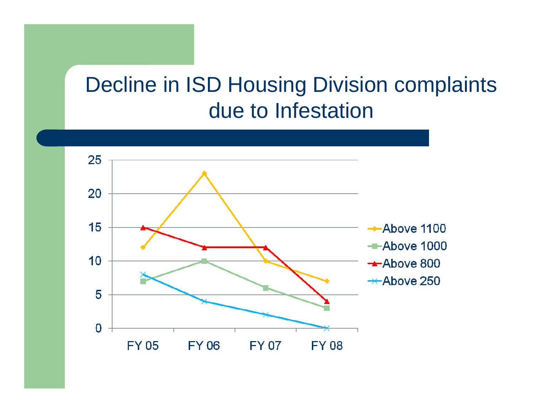#### Decline in ISD Housing Division complaints due to Infestation

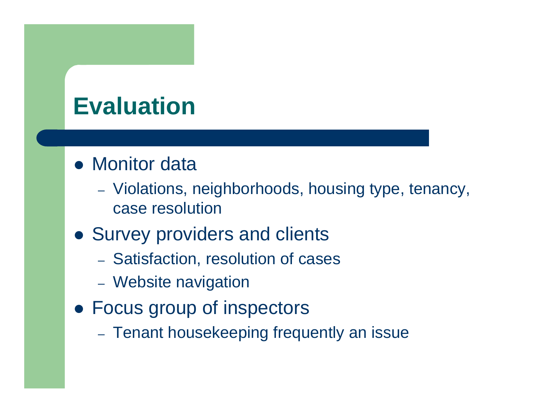#### **Evaluation**

#### • Monitor data

- Violations, neighborhoods, housing type, tenancy, case resolution
- Survey providers and clients
	- Satisfaction, resolution of cases
	- Website navigation
- Focus group of inspectors
	- Tenant housekeeping frequently an issue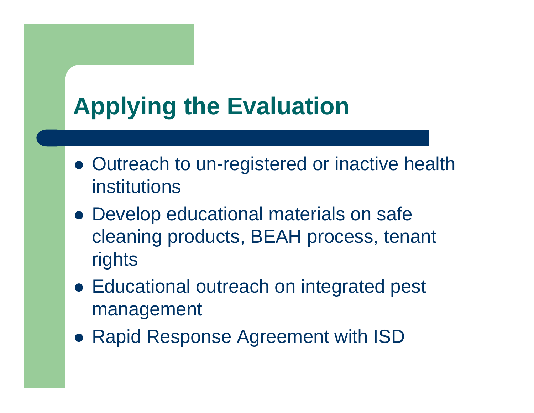## **Applying the Evaluation**

- Outreach to un-registered or inactive health institutions
- Develop educational materials on safe cleaning products, BEAH process, tenant rights
- Educational outreach on integrated pest management
- Rapid Response Agreement with ISD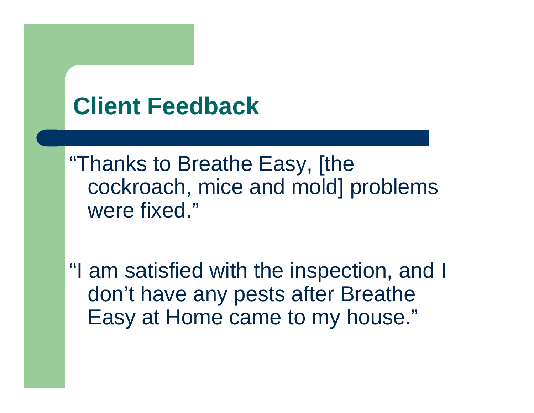#### **Client Feedback**

"Thanks to Breathe Easy, [the cockroach, mice and mold] problems were fixed."

"I am satisfied with the inspection, and I don't have any pests after Breathe Easy at Home came to my house."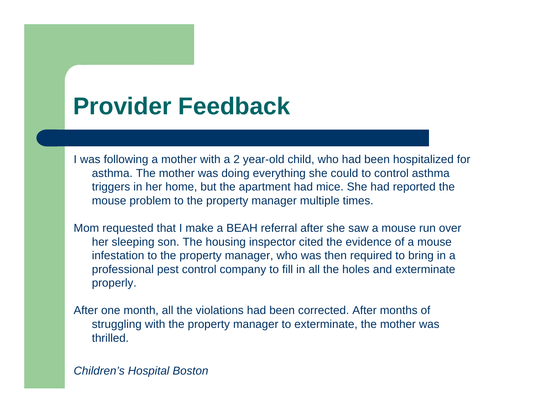#### **Provider Feedback**

I was following a mother with a 2 year-old child, who had been hospitalized for asthma. The mother was doing everything she could to control asthma triggers in her home, but the apartment had mice. She had reported the mouse problem to the property manager multiple times.

Mom requested that I make a BEAH referral after she saw a mouse run over her sleeping son. The housing inspector cited the evidence of a mouse infestation to the property manager, who was then required to bring in a professional pest control company to fill in all the holes and exterminate properly.

After one month, all the violations had been corrected. After months of struggling with the property manager to exterminate, the mother was thrilled.

*Children's Hospital Boston*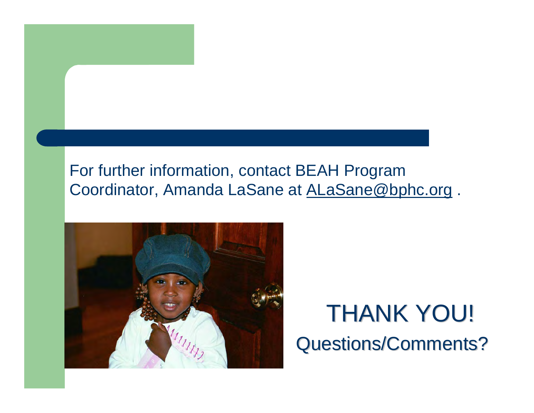#### For further information, contact BEAH Program Coordinator, Amanda LaSane at ALaSane@bphc.org .



#### **THANK YOU!** Questions/Comments? Questions/Comments?